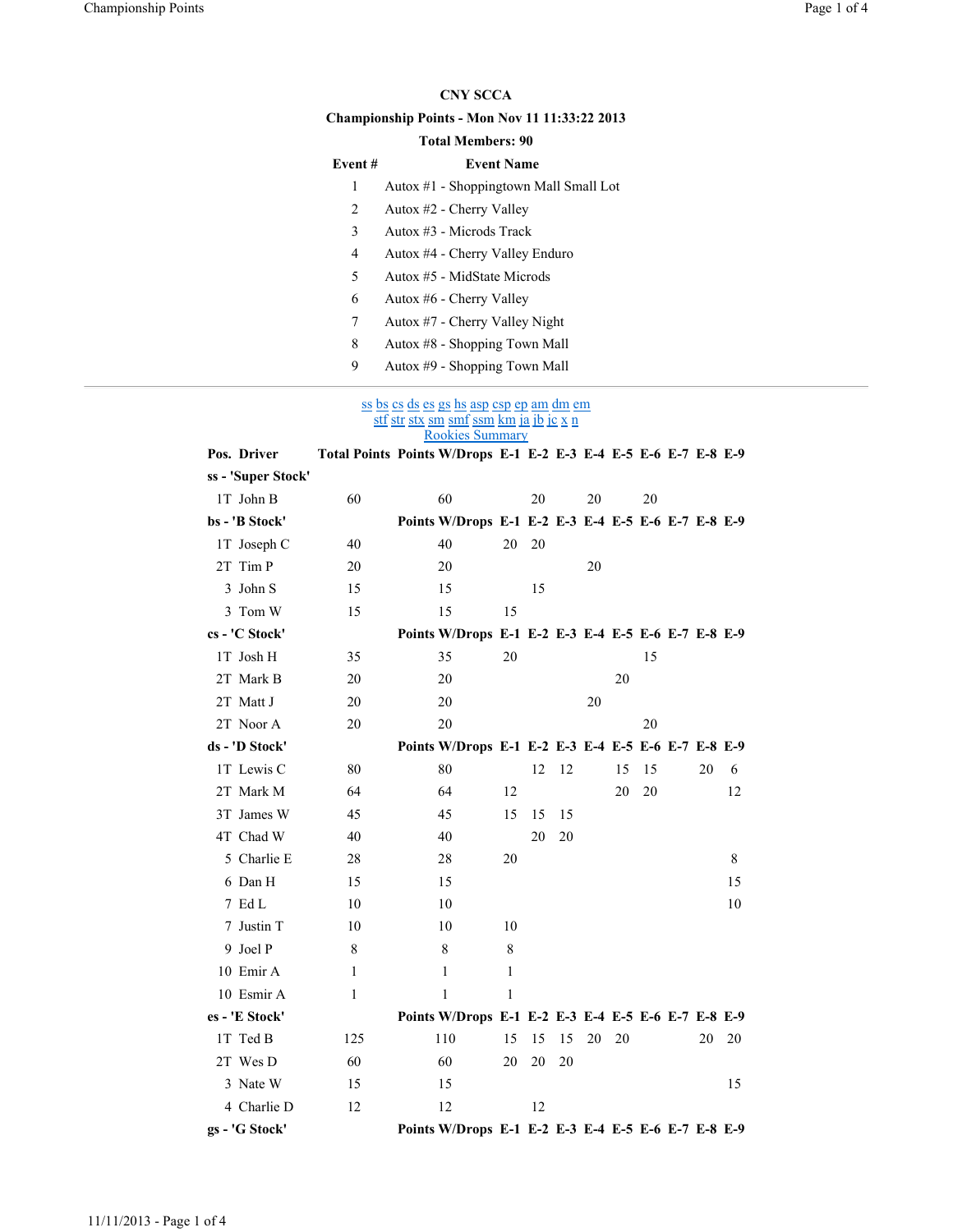## CNY SCCA

## Championship Points - Mon Nov 11 11:33:22 2013

## Total Members: 90

| Event #        | <b>Event Name</b>                      |
|----------------|----------------------------------------|
| 1              | Autox #1 - Shoppingtown Mall Small Lot |
| 2              | Autox #2 - Cherry Valley               |
| 3              | Autox #3 - Microds Track               |
| $\overline{4}$ | Autox #4 - Cherry Valley Enduro        |
| 5              | Autox #5 - MidState Microds            |
| 6              | Autox #6 - Cherry Valley               |
| 7              | Autox #7 - Cherry Valley Night         |
| 8              | Autox #8 - Shopping Town Mall          |
| 9              | Autox #9 - Shopping Town Mall          |

ss bs cs ds es gs hs asp csp ep am dm em <u>stf str stx sm smf ssm km ja jb jc x n</u> Rookies Summary

| Pos. Driver        |              | Total Points Points W/Drops E-1 E-2 E-3 E-4 E-5 E-6 E-7 E-8 E-9 |    |    |    |    |    |    |    |    |
|--------------------|--------------|-----------------------------------------------------------------|----|----|----|----|----|----|----|----|
| ss - 'Super Stock' |              |                                                                 |    |    |    |    |    |    |    |    |
| 1T John B          | 60           | 60                                                              |    | 20 |    | 20 |    | 20 |    |    |
| bs - 'B Stock'     |              | Points W/Drops E-1 E-2 E-3 E-4 E-5 E-6 E-7 E-8 E-9              |    |    |    |    |    |    |    |    |
| 1T Joseph C        | 40           | 40                                                              | 20 | 20 |    |    |    |    |    |    |
| 2T Tim P           | 20           | 20                                                              |    |    |    | 20 |    |    |    |    |
| 3 John S           | 15           | 15                                                              |    | 15 |    |    |    |    |    |    |
| 3 Tom W            | 15           | 15                                                              | 15 |    |    |    |    |    |    |    |
| cs - 'C Stock'     |              | Points W/Drops E-1 E-2 E-3 E-4 E-5 E-6 E-7 E-8 E-9              |    |    |    |    |    |    |    |    |
| 1T Josh H          | 35           | 35                                                              | 20 |    |    |    |    | 15 |    |    |
| 2T Mark B          | 20           | 20                                                              |    |    |    |    | 20 |    |    |    |
| 2T Matt J          | 20           | 20                                                              |    |    |    | 20 |    |    |    |    |
| 2T Noor A          | 20           | 20                                                              |    |    |    |    |    | 20 |    |    |
| ds - 'D Stock'     |              | Points W/Drops E-1 E-2 E-3 E-4 E-5 E-6 E-7 E-8 E-9              |    |    |    |    |    |    |    |    |
| 1T Lewis C         | 80           | 80                                                              |    | 12 | 12 |    | 15 | 15 | 20 | 6  |
| 2T Mark M          | 64           | 64                                                              | 12 |    |    |    | 20 | 20 |    | 12 |
| 3T James W         | 45           | 45                                                              | 15 | 15 | 15 |    |    |    |    |    |
| 4T Chad W          | 40           | 40                                                              |    | 20 | 20 |    |    |    |    |    |
| 5 Charlie E        | 28           | 28                                                              | 20 |    |    |    |    |    |    | 8  |
| 6 Dan H            | 15           | 15                                                              |    |    |    |    |    |    |    | 15 |
| 7 Ed L             | 10           | 10                                                              |    |    |    |    |    |    |    | 10 |
| 7 Justin T         | 10           | 10                                                              | 10 |    |    |    |    |    |    |    |
| 9 Joel P           | 8            | 8                                                               | 8  |    |    |    |    |    |    |    |
| 10 Emir A          | $\mathbf{1}$ | 1                                                               | 1  |    |    |    |    |    |    |    |
| 10 Esmir A         | 1            | 1                                                               | 1  |    |    |    |    |    |    |    |
| es - 'E Stock'     |              | Points W/Drops E-1 E-2 E-3 E-4 E-5 E-6 E-7 E-8 E-9              |    |    |    |    |    |    |    |    |
| 1T Ted B           | 125          | 110                                                             | 15 | 15 | 15 | 20 | 20 |    | 20 | 20 |
| 2T Wes D           | 60           | 60                                                              | 20 | 20 | 20 |    |    |    |    |    |
| 3 Nate W           | 15           | 15                                                              |    |    |    |    |    |    |    | 15 |
| 4 Charlie D        | 12           | 12                                                              |    | 12 |    |    |    |    |    |    |
| gs - 'G Stock'     |              | Points W/Drops E-1 E-2 E-3 E-4 E-5 E-6 E-7 E-8 E-9              |    |    |    |    |    |    |    |    |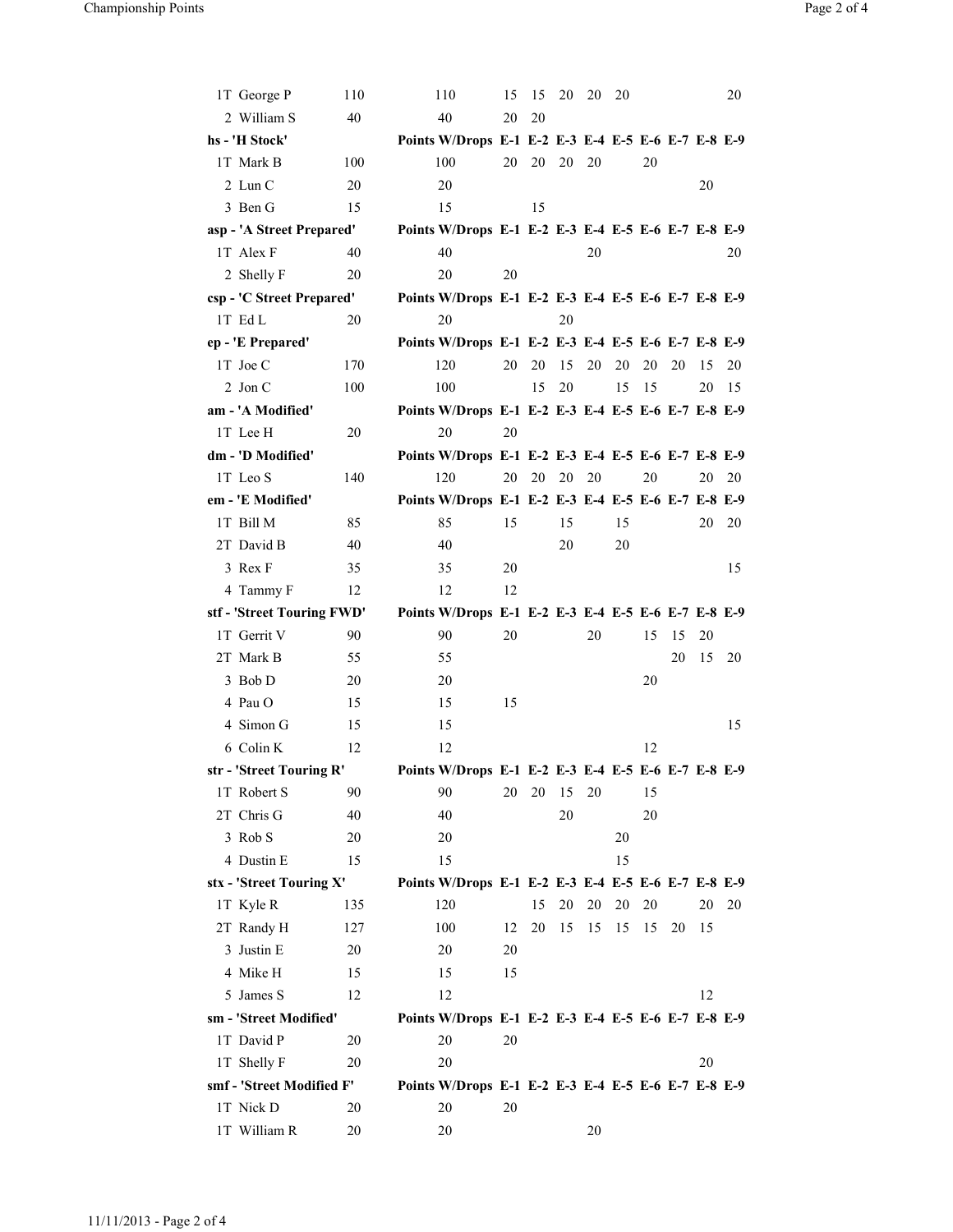| 1T George P                            | 110 | 110                                                      | 15 | 15 | 20 | 20 | - 20 |    |    |    | 20 |
|----------------------------------------|-----|----------------------------------------------------------|----|----|----|----|------|----|----|----|----|
| 2 William S                            | 40  | 40                                                       | 20 | 20 |    |    |      |    |    |    |    |
| hs - 'H Stock'                         |     | Points W/Drops E-1 E-2 E-3 E-4 E-5 E-6 E-7 E-8 E-9       |    |    |    |    |      |    |    |    |    |
| 1T Mark B                              | 100 | 100                                                      | 20 | 20 | 20 | 20 |      | 20 |    |    |    |
| 2 Lun C                                | 20  | 20                                                       |    |    |    |    |      |    |    | 20 |    |
| 3 Ben G                                | 15  | 15                                                       |    | 15 |    |    |      |    |    |    |    |
| asp - 'A Street Prepared'              |     | Points W/Drops E-1 E-2 E-3 E-4 E-5 E-6 E-7 E-8 E-9       |    |    |    |    |      |    |    |    |    |
| 1T Alex F                              | 40  | 40                                                       |    |    |    | 20 |      |    |    |    | 20 |
| 2 Shelly F                             | 20  | 20                                                       | 20 |    |    |    |      |    |    |    |    |
| csp - 'C Street Prepared'              |     | Points W/Drops E-1 E-2 E-3 E-4 E-5 E-6 E-7 E-8 E-9       |    |    |    |    |      |    |    |    |    |
| 1T Ed L                                | 20  | 20                                                       |    |    | 20 |    |      |    |    |    |    |
| ep - 'E Prepared'                      |     | Points W/Drops E-1 E-2 E-3 E-4 E-5 E-6 E-7 E-8 E-9       |    |    |    |    |      |    |    |    |    |
| 1T Joe C                               | 170 | 120                                                      | 20 | 20 | 15 | 20 | 20   | 20 | 20 | 15 | 20 |
| $2$ Jon C                              | 100 | 100                                                      |    | 15 | 20 |    | 15   | 15 |    | 20 | 15 |
| am - 'A Modified'                      |     | Points W/Drops E-1 E-2 E-3 E-4 E-5 E-6 E-7 E-8 E-9       |    |    |    |    |      |    |    |    |    |
| 1T Lee H                               | 20  | 20                                                       | 20 |    |    |    |      |    |    |    |    |
| dm - 'D Modified'                      |     | Points W/Drops E-1 E-2 E-3 E-4 E-5 E-6 E-7 E-8 E-9       |    |    |    |    |      |    |    |    |    |
| 1T Leo S                               | 140 | 120                                                      | 20 | 20 | 20 | 20 |      | 20 |    | 20 | 20 |
| em - 'E Modified'                      |     | Points W/Drops E-1 E-2 E-3 E-4 E-5 E-6 E-7 E-8 E-9       |    |    |    |    |      |    |    |    |    |
| 1T Bill M                              | 85  | 85                                                       | 15 |    | 15 |    | 15   |    |    | 20 | 20 |
| 2T David B                             | 40  | 40                                                       |    |    | 20 |    | 20   |    |    |    |    |
| 3 Rex F                                | 35  | 35                                                       | 20 |    |    |    |      |    |    |    | 15 |
| 4 Tammy F                              | 12  | 12                                                       | 12 |    |    |    |      |    |    |    |    |
|                                        |     |                                                          |    |    |    |    |      |    |    |    |    |
| stf - 'Street Touring FWD'             |     | Points W/Drops E-1 E-2 E-3 E-4 E-5 E-6 E-7 E-8 E-9       |    |    |    |    |      |    |    |    |    |
| 1T Gerrit V                            | 90  | 90                                                       | 20 |    |    | 20 |      | 15 | 15 | 20 |    |
| 2T Mark B                              | 55  | 55                                                       |    |    |    |    |      |    | 20 | 15 | 20 |
| 3 Bob D                                | 20  | 20                                                       |    |    |    |    |      | 20 |    |    |    |
| 4 Pau O                                | 15  | 15                                                       | 15 |    |    |    |      |    |    |    |    |
| 4 Simon G                              | 15  | 15                                                       |    |    |    |    |      |    |    |    | 15 |
| 6 Colin K                              | 12  | 12                                                       |    |    |    |    |      | 12 |    |    |    |
| str - 'Street Touring R'               |     | Points W/Drops E-1 E-2 E-3 E-4 E-5 E-6 E-7 E-8 E-9       |    |    |    |    |      |    |    |    |    |
| 1T Robert S                            | 90  | 90                                                       | 20 | 20 | 15 | 20 |      | 15 |    |    |    |
| 2T Chris G                             | 40  | 40                                                       |    |    | 20 |    |      | 20 |    |    |    |
| 3 Rob S                                | 20  | 20                                                       |    |    |    |    | 20   |    |    |    |    |
| 4 Dustin E                             | 15  | 15                                                       |    |    |    |    | 15   |    |    |    |    |
| stx - 'Street Touring X'               |     | Points W/Drops E-1 E-2 E-3 E-4 E-5 E-6 E-7 E-8 E-9       |    |    |    |    |      |    |    |    |    |
| 1T Kyle R                              | 135 | 120                                                      |    | 15 | 20 | 20 | 20   | 20 |    | 20 | 20 |
| 2T Randy H                             | 127 | 100                                                      | 12 | 20 | 15 | 15 | 15   | 15 | 20 | 15 |    |
| 3 Justin E                             | 20  | 20                                                       | 20 |    |    |    |      |    |    |    |    |
| 4 Mike H                               | 15  | 15                                                       | 15 |    |    |    |      |    |    |    |    |
| 5 James S                              | 12  | 12                                                       |    |    |    |    |      |    |    | 12 |    |
| sm - 'Street Modified'                 |     | Points W/Drops E-1 E-2 E-3 E-4 E-5 E-6 E-7 E-8 E-9       |    |    |    |    |      |    |    |    |    |
| 1T David P                             | 20  | 20                                                       | 20 |    |    |    |      |    |    |    |    |
| 1T Shelly F                            | 20  | 20                                                       |    |    |    |    |      |    |    | 20 |    |
| smf - 'Street Modified F'<br>1T Nick D | 20  | Points W/Drops E-1 E-2 E-3 E-4 E-5 E-6 E-7 E-8 E-9<br>20 | 20 |    |    |    |      |    |    |    |    |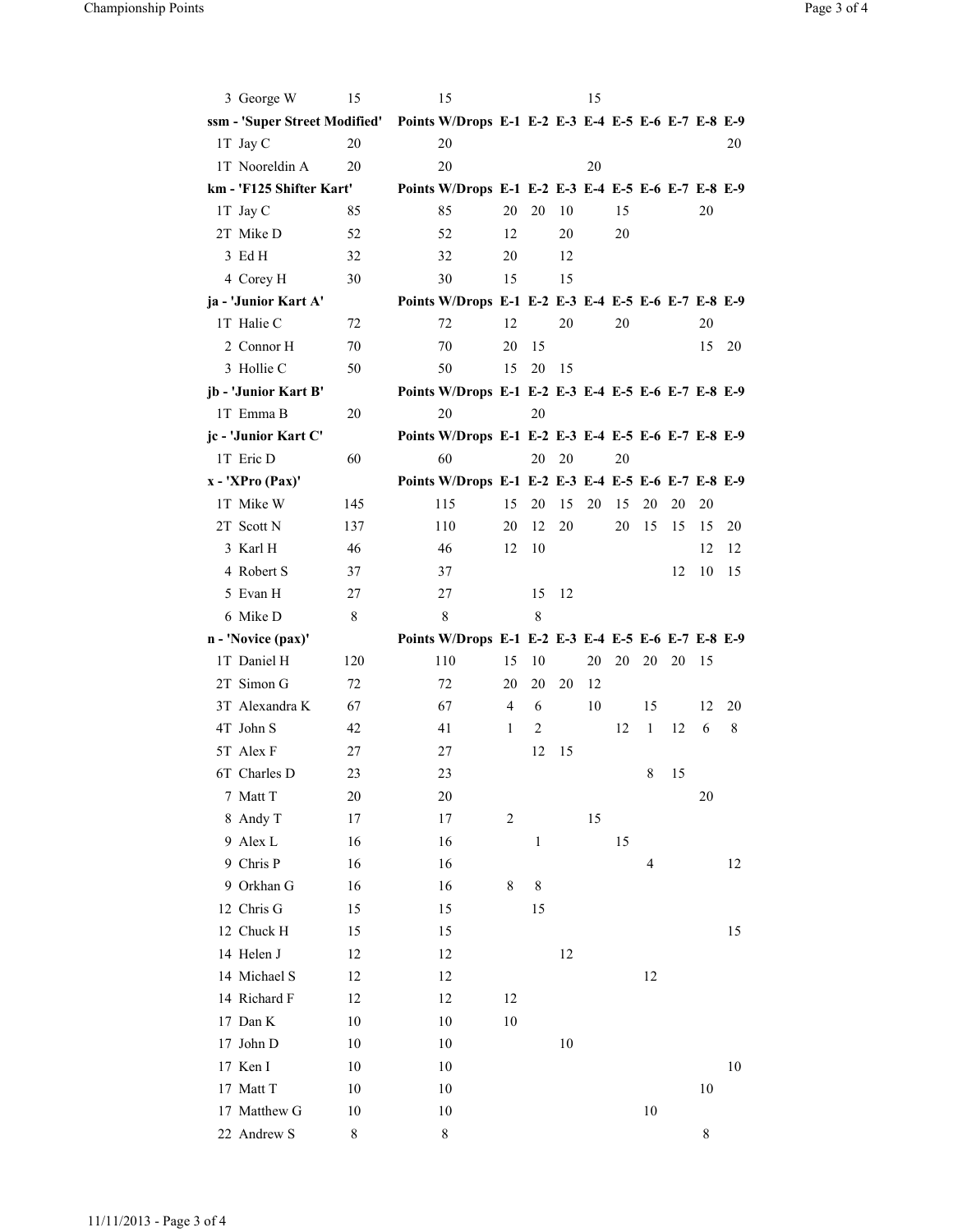| 3 George W                    | 15                | 15                                                 |                |              |    | 15 |    |              |    |         |    |
|-------------------------------|-------------------|----------------------------------------------------|----------------|--------------|----|----|----|--------------|----|---------|----|
| ssm - 'Super Street Modified' |                   | Points W/Drops E-1 E-2 E-3 E-4 E-5 E-6 E-7 E-8 E-9 |                |              |    |    |    |              |    |         |    |
| 1T Jay C                      | 20                | 20                                                 |                |              |    |    |    |              |    |         | 20 |
| 1T Nooreldin A                | 20                | 20                                                 |                |              |    | 20 |    |              |    |         |    |
| km - 'F125 Shifter Kart'      |                   | Points W/Drops E-1 E-2 E-3 E-4 E-5 E-6 E-7 E-8 E-9 |                |              |    |    |    |              |    |         |    |
| 1T Jay C                      | 85                | 85                                                 | 20             | 20           | 10 |    | 15 |              |    | 20      |    |
| 2T Mike D                     | 52                | 52                                                 | 12             |              | 20 |    | 20 |              |    |         |    |
| 3 EdH                         | 32                | 32                                                 | 20             |              | 12 |    |    |              |    |         |    |
| 4 Corey H                     | 30                | 30                                                 | 15             |              | 15 |    |    |              |    |         |    |
| ja - 'Junior Kart A'          |                   | Points W/Drops E-1 E-2 E-3 E-4 E-5 E-6 E-7 E-8 E-9 |                |              |    |    |    |              |    |         |    |
| 1T Halie C                    | 72                | 72                                                 | 12             |              | 20 |    | 20 |              |    | 20      |    |
| 2 Connor H                    | 70                | 70                                                 | 20             | 15           |    |    |    |              |    | 15      | 20 |
| 3 Hollie C                    | 50                | 50                                                 | 15             | 20           | 15 |    |    |              |    |         |    |
| jb - 'Junior Kart B'          |                   | Points W/Drops E-1 E-2 E-3 E-4 E-5 E-6 E-7 E-8 E-9 |                |              |    |    |    |              |    |         |    |
| 1T Emma B                     | 20                | 20                                                 |                | 20           |    |    |    |              |    |         |    |
| jc - 'Junior Kart C'          |                   | Points W/Drops E-1 E-2 E-3 E-4 E-5 E-6 E-7 E-8 E-9 |                |              |    |    |    |              |    |         |    |
| 1T Eric D                     | 60                | 60                                                 |                | 20           | 20 |    | 20 |              |    |         |    |
| $x - 'XPro (Pax)'$            |                   | Points W/Drops E-1 E-2 E-3 E-4 E-5 E-6 E-7 E-8 E-9 |                |              |    |    |    |              |    |         |    |
| 1T Mike W                     | 145               | 115                                                | 15             | 20           | 15 | 20 | 15 | 20           | 20 | 20      |    |
| 2T Scott N                    | 137               | 110                                                | 20             | 12           | 20 |    | 20 | 15           | 15 | 15      | 20 |
| 3 Karl H                      | 46                | 46                                                 | 12             | 10           |    |    |    |              |    | 12      | 12 |
| 4 Robert S                    | 37                | 37                                                 |                |              |    |    |    |              | 12 | 10      | 15 |
| 5 Evan H                      | 27                | 27                                                 |                | 15           | 12 |    |    |              |    |         |    |
|                               |                   |                                                    |                |              |    |    |    |              |    |         |    |
| 6 Mike D                      | 8                 | 8                                                  |                | 8            |    |    |    |              |    |         |    |
| n - 'Novice (pax)'            |                   | Points W/Drops E-1 E-2 E-3 E-4 E-5 E-6 E-7 E-8 E-9 |                |              |    |    |    |              |    |         |    |
| 1T Daniel H                   | 120               | 110                                                | 15             | 10           |    | 20 | 20 | 20           | 20 | 15      |    |
| 2T Simon G                    | 72                | 72                                                 | 20             | 20           | 20 | 12 |    |              |    |         |    |
| 3T Alexandra K                | 67                | 67                                                 | 4              | 6            |    | 10 |    | 15           |    | 12      | 20 |
| 4T John S                     | 42                | 41                                                 | 1              | 2            |    |    | 12 | $\mathbf{1}$ | 12 | 6       | 8  |
| 5T Alex F                     | 27                | 27                                                 |                | 12           | 15 |    |    |              |    |         |    |
| 6T Charles D                  | 23                | 23                                                 |                |              |    |    |    | 8            | 15 |         |    |
| 7 Matt T                      | 20                | 20                                                 |                |              |    |    |    |              |    | 20      |    |
| 8 Andy T                      | 17                | 17                                                 | $\overline{c}$ |              |    | 15 |    |              |    |         |    |
| 9 Alex L                      | 16                | 16                                                 |                | $\mathbf{1}$ |    |    | 15 |              |    |         |    |
| 9 Chris P                     | 16                | 16                                                 |                |              |    |    |    | 4            |    |         | 12 |
| 9 Orkhan G                    | 16                | 16                                                 | 8              | $\,$ $\,$    |    |    |    |              |    |         |    |
| 12 Chris G                    | 15                | 15                                                 |                | 15           |    |    |    |              |    |         |    |
| 12 Chuck H                    | 15                | 15                                                 |                |              |    |    |    |              |    |         | 15 |
| 14 Helen J                    | 12                | 12                                                 |                |              | 12 |    |    |              |    |         |    |
| 14 Michael S                  | 12                | 12                                                 |                |              |    |    |    | 12           |    |         |    |
| 14 Richard F                  | 12                | 12                                                 | 12             |              |    |    |    |              |    |         |    |
| 17 Dan K                      | 10                | 10                                                 | 10             |              |    |    |    |              |    |         |    |
| 17 John D                     | 10                | 10                                                 |                |              | 10 |    |    |              |    |         |    |
| 17 Ken I                      | 10                | 10                                                 |                |              |    |    |    |              |    |         | 10 |
| 17 Matt T                     | 10                | 10                                                 |                |              |    |    |    |              |    | 10      |    |
| 17 Matthew G<br>22 Andrew S   | 10<br>$\,$ 8 $\,$ | 10<br>$\,$ 8 $\,$                                  |                |              |    |    |    | 10           |    | $\,8\,$ |    |